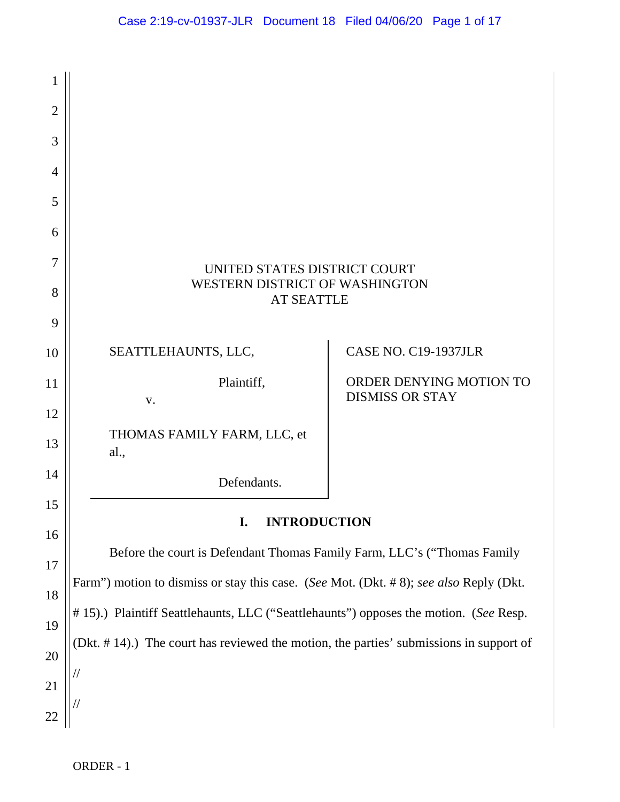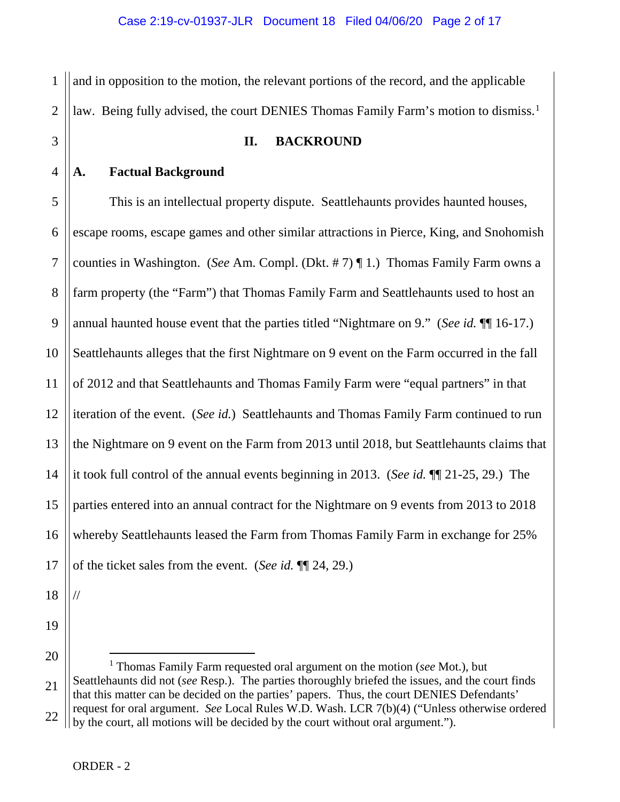1 2 and in opposition to the motion, the relevant portions of the record, and the applicable law. Being fully advised, the court DENIES Thomas Family Farm's motion to dismiss.<sup>[1](#page-1-0)</sup>

# 3

4

#### **II. BACKROUND**

### **A. Factual Background**

5 6 7 8 9 10 11 12 13 14 15 16 17 This is an intellectual property dispute. Seattlehaunts provides haunted houses, escape rooms, escape games and other similar attractions in Pierce, King, and Snohomish counties in Washington. (*See* Am. Compl. (Dkt. # 7) ¶ 1.) Thomas Family Farm owns a farm property (the "Farm") that Thomas Family Farm and Seattlehaunts used to host an annual haunted house event that the parties titled "Nightmare on 9." (*See id.* ¶¶ 16-17.) Seattlehaunts alleges that the first Nightmare on 9 event on the Farm occurred in the fall of 2012 and that Seattlehaunts and Thomas Family Farm were "equal partners" in that iteration of the event. (*See id.*) Seattlehaunts and Thomas Family Farm continued to run the Nightmare on 9 event on the Farm from 2013 until 2018, but Seattlehaunts claims that it took full control of the annual events beginning in 2013. (*See id.* ¶¶ 21-25, 29.) The parties entered into an annual contract for the Nightmare on 9 events from 2013 to 2018 whereby Seattlehaunts leased the Farm from Thomas Family Farm in exchange for 25% of the ticket sales from the event. (*See id.* ¶¶ 24, 29.)

18

//

19

<span id="page-1-0"></span>20 21 22 1 Thomas Family Farm requested oral argument on the motion (*see* Mot.), but Seattlehaunts did not (*see* Resp.). The parties thoroughly briefed the issues, and the court finds that this matter can be decided on the parties' papers. Thus, the court DENIES Defendants' request for oral argument. *See* Local Rules W.D. Wash. LCR 7(b)(4) ("Unless otherwise ordered by the court, all motions will be decided by the court without oral argument.").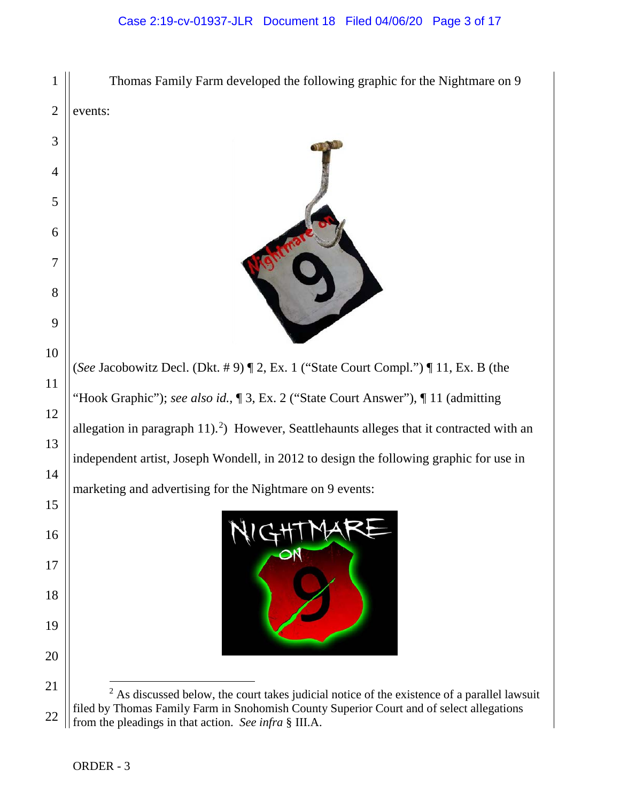#### Case 2:19-cv-01937-JLR Document 18 Filed 04/06/20 Page 3 of 17



<span id="page-2-0"></span> from the pleadings in that action. *See infra* § III.A.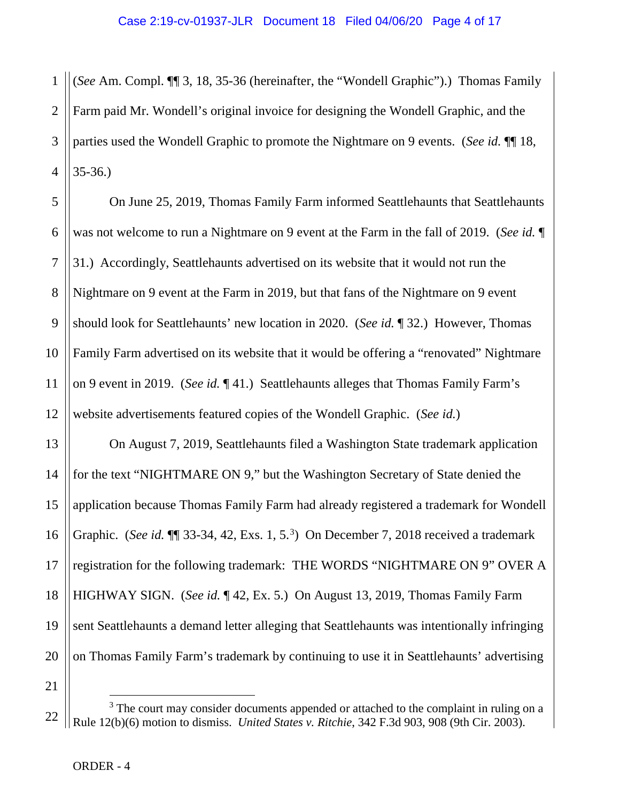1 2 3 4 (*See* Am. Compl. ¶¶ 3, 18, 35-36 (hereinafter, the "Wondell Graphic").) Thomas Family Farm paid Mr. Wondell's original invoice for designing the Wondell Graphic, and the parties used the Wondell Graphic to promote the Nightmare on 9 events. (*See id.* ¶¶ 18, 35-36.)

5 6 7 8 9 10 11 12 On June 25, 2019, Thomas Family Farm informed Seattlehaunts that Seattlehaunts was not welcome to run a Nightmare on 9 event at the Farm in the fall of 2019. (*See id.* ¶ 31.) Accordingly, Seattlehaunts advertised on its website that it would not run the Nightmare on 9 event at the Farm in 2019, but that fans of the Nightmare on 9 event should look for Seattlehaunts' new location in 2020. (*See id.* ¶ 32.) However, Thomas Family Farm advertised on its website that it would be offering a "renovated" Nightmare on 9 event in 2019. (*See id.* ¶ 41.) Seattlehaunts alleges that Thomas Family Farm's website advertisements featured copies of the Wondell Graphic. (*See id.*)

13 14 15 16 17 18 19 20 On August 7, 2019, Seattlehaunts filed a Washington State trademark application for the text "NIGHTMARE ON 9," but the Washington Secretary of State denied the application because Thomas Family Farm had already registered a trademark for Wondell Graphic. (*See id.* \[\] [3](#page-3-0)3-34, 42, Exs. 1, 5.<sup>3</sup>) On December 7, 2018 received a trademark registration for the following trademark: THE WORDS "NIGHTMARE ON 9" OVER A HIGHWAY SIGN. (*See id.* ¶ 42, Ex. 5.) On August 13, 2019, Thomas Family Farm sent Seattlehaunts a demand letter alleging that Seattlehaunts was intentionally infringing on Thomas Family Farm's trademark by continuing to use it in Seattlehaunts' advertising

21

<span id="page-3-0"></span><sup>22</sup>  $3$  The court may consider documents appended or attached to the complaint in ruling on a Rule 12(b)(6) motion to dismiss. *United States v. Ritchie*, 342 F.3d 903, 908 (9th Cir. 2003).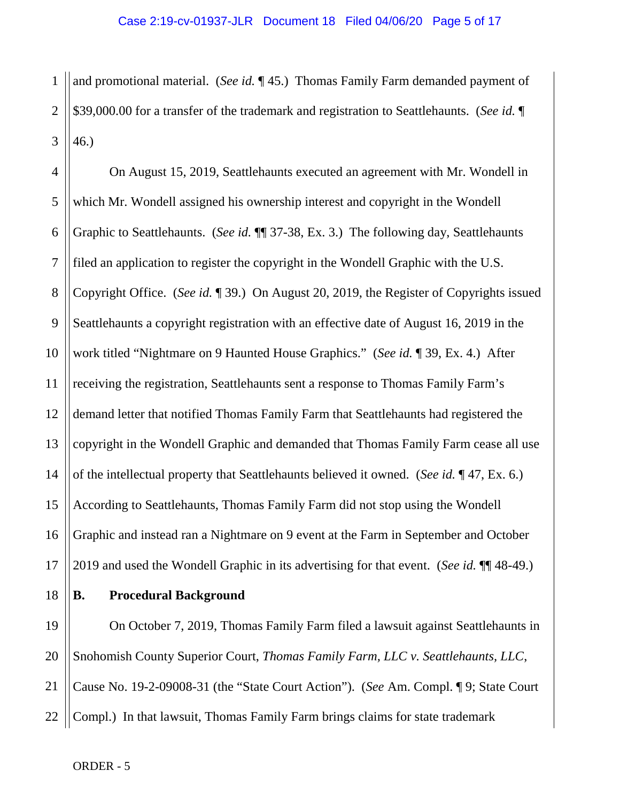1 2 3 and promotional material. (*See id.* ¶ 45.) Thomas Family Farm demanded payment of \$39,000.00 for a transfer of the trademark and registration to Seattlehaunts. (*See id.* ¶ 46.)

4 5 6 7 8 9 10 11 12 13 14 15 16 17 On August 15, 2019, Seattlehaunts executed an agreement with Mr. Wondell in which Mr. Wondell assigned his ownership interest and copyright in the Wondell Graphic to Seattlehaunts. (*See id.* ¶¶ 37-38, Ex. 3.) The following day, Seattlehaunts filed an application to register the copyright in the Wondell Graphic with the U.S. Copyright Office. (*See id.* ¶ 39.) On August 20, 2019, the Register of Copyrights issued Seattlehaunts a copyright registration with an effective date of August 16, 2019 in the work titled "Nightmare on 9 Haunted House Graphics." (*See id.* ¶ 39, Ex. 4.) After receiving the registration, Seattlehaunts sent a response to Thomas Family Farm's demand letter that notified Thomas Family Farm that Seattlehaunts had registered the copyright in the Wondell Graphic and demanded that Thomas Family Farm cease all use of the intellectual property that Seattlehaunts believed it owned. (*See id.* ¶ 47, Ex. 6.) According to Seattlehaunts, Thomas Family Farm did not stop using the Wondell Graphic and instead ran a Nightmare on 9 event at the Farm in September and October 2019 and used the Wondell Graphic in its advertising for that event. (*See id.* ¶¶ 48-49.)

18

### **B. Procedural Background**

19 20 21 22 On October 7, 2019, Thomas Family Farm filed a lawsuit against Seattlehaunts in Snohomish County Superior Court, *Thomas Family Farm, LLC v. Seattlehaunts, LLC*, Cause No. 19-2-09008-31 (the "State Court Action"). (*See* Am. Compl. ¶ 9; State Court Compl.) In that lawsuit, Thomas Family Farm brings claims for state trademark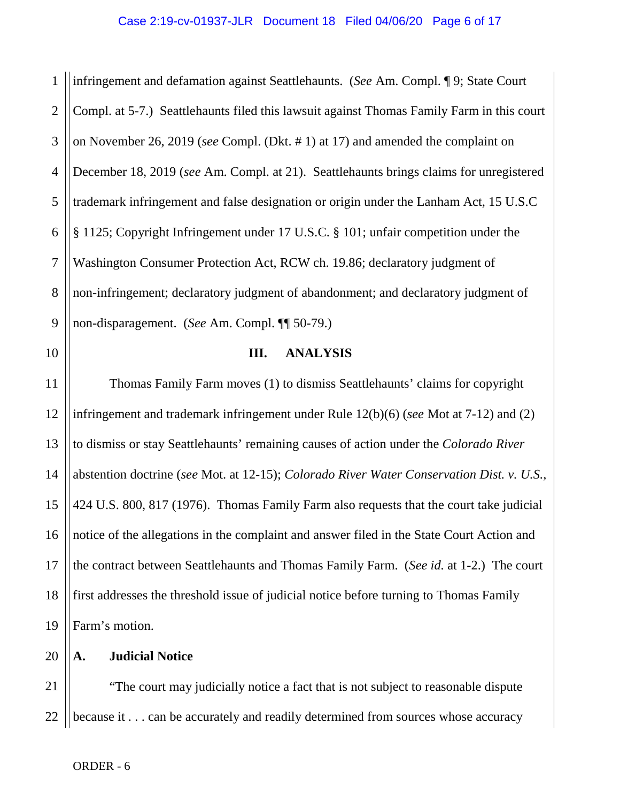1 2 3 4 5 6 7 8 9 infringement and defamation against Seattlehaunts. (*See* Am. Compl. ¶ 9; State Court Compl. at 5-7.) Seattlehaunts filed this lawsuit against Thomas Family Farm in this court on November 26, 2019 (*see* Compl. (Dkt. # 1) at 17) and amended the complaint on December 18, 2019 (*see* Am. Compl. at 21). Seattlehaunts brings claims for unregistered trademark infringement and false designation or origin under the Lanham Act, 15 U.S.C § 1125; Copyright Infringement under 17 U.S.C. § 101; unfair competition under the Washington Consumer Protection Act, RCW ch. 19.86; declaratory judgment of non-infringement; declaratory judgment of abandonment; and declaratory judgment of non-disparagement. (*See* Am. Compl. ¶¶ 50-79.)

10

#### **III. ANALYSIS**

11 12 13 14 15 16 17 18 19 Thomas Family Farm moves (1) to dismiss Seattlehaunts' claims for copyright infringement and trademark infringement under Rule 12(b)(6) (*see* Mot at 7-12) and (2) to dismiss or stay Seattlehaunts' remaining causes of action under the *Colorado River*  abstention doctrine (*see* Mot. at 12-15); *Colorado River Water Conservation Dist. v. U.S.*, 424 U.S. 800, 817 (1976). Thomas Family Farm also requests that the court take judicial notice of the allegations in the complaint and answer filed in the State Court Action and the contract between Seattlehaunts and Thomas Family Farm. (*See id.* at 1-2.) The court first addresses the threshold issue of judicial notice before turning to Thomas Family Farm's motion.

20 **A. Judicial Notice**

21 22 "The court may judicially notice a fact that is not subject to reasonable dispute because it . . . can be accurately and readily determined from sources whose accuracy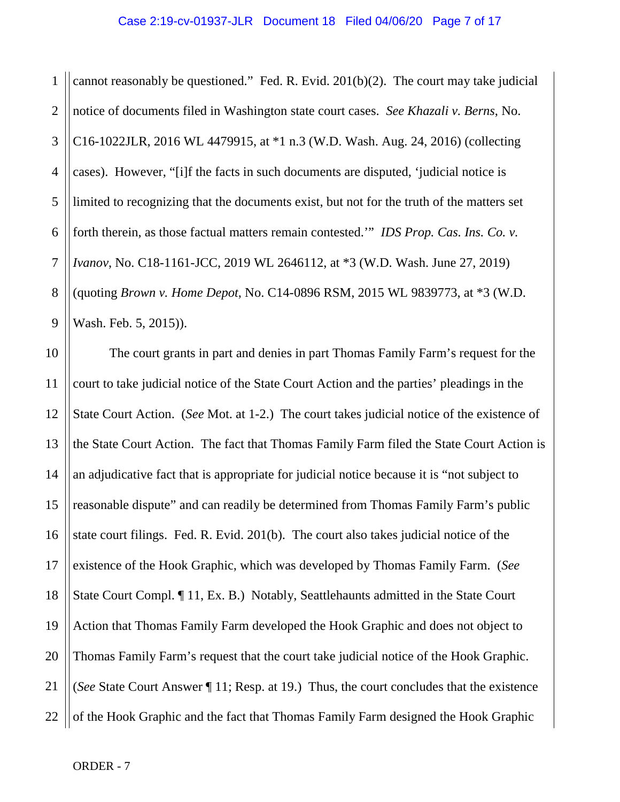1 2 3 4 5 6 7 8 9 cannot reasonably be questioned." Fed. R. Evid. 201(b)(2). The court may take judicial notice of documents filed in Washington state court cases. *See Khazali v. Berns*, No. C16-1022JLR, 2016 WL 4479915, at \*1 n.3 (W.D. Wash. Aug. 24, 2016) (collecting cases). However, "[i]f the facts in such documents are disputed, 'judicial notice is limited to recognizing that the documents exist, but not for the truth of the matters set forth therein, as those factual matters remain contested.'" *IDS Prop. Cas. Ins. Co. v. Ivanov*, No. C18-1161-JCC, 2019 WL 2646112, at \*3 (W.D. Wash. June 27, 2019) (quoting *Brown v. Home Depot*, No. C14-0896 RSM, 2015 WL 9839773, at \*3 (W.D. Wash. Feb. 5, 2015)).

10 11 12 13 14 15 16 17 18 19 20 21 22 The court grants in part and denies in part Thomas Family Farm's request for the court to take judicial notice of the State Court Action and the parties' pleadings in the State Court Action. (*See* Mot. at 1-2.) The court takes judicial notice of the existence of the State Court Action. The fact that Thomas Family Farm filed the State Court Action is an adjudicative fact that is appropriate for judicial notice because it is "not subject to reasonable dispute" and can readily be determined from Thomas Family Farm's public state court filings. Fed. R. Evid. 201(b). The court also takes judicial notice of the existence of the Hook Graphic, which was developed by Thomas Family Farm. (*See*  State Court Compl. ¶ 11, Ex. B.) Notably, Seattlehaunts admitted in the State Court Action that Thomas Family Farm developed the Hook Graphic and does not object to Thomas Family Farm's request that the court take judicial notice of the Hook Graphic. (*See* State Court Answer ¶ 11; Resp. at 19.) Thus, the court concludes that the existence of the Hook Graphic and the fact that Thomas Family Farm designed the Hook Graphic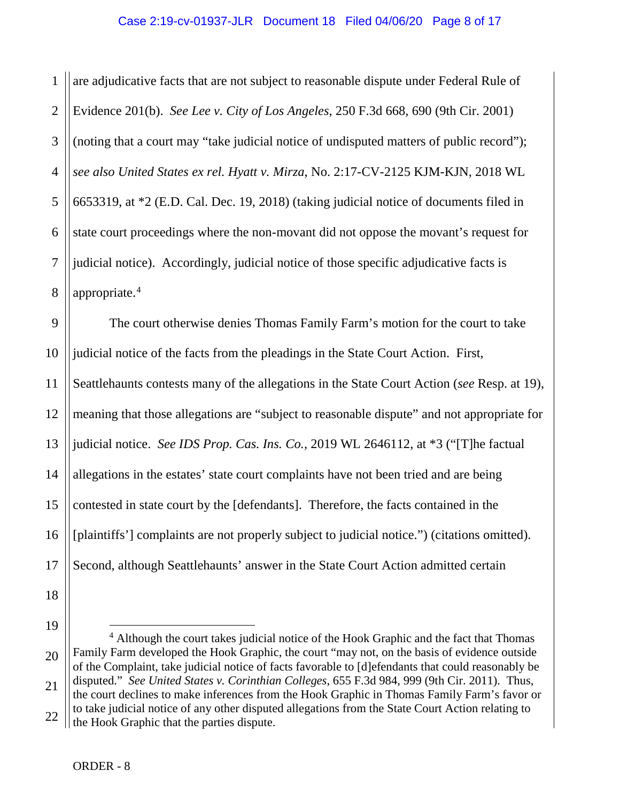1 2 3 4 5 6 7 8 are adjudicative facts that are not subject to reasonable dispute under Federal Rule of Evidence 201(b). *See Lee v. City of Los Angeles*, 250 F.3d 668, 690 (9th Cir. 2001) (noting that a court may "take judicial notice of undisputed matters of public record"); *see also United States ex rel. Hyatt v. Mirza*, No. 2:17-CV-2125 KJM-KJN, 2018 WL 6653319, at \*2 (E.D. Cal. Dec. 19, 2018) (taking judicial notice of documents filed in state court proceedings where the non-movant did not oppose the movant's request for judicial notice). Accordingly, judicial notice of those specific adjudicative facts is appropriate.[4](#page-7-0)

9 10 11 12 13 14 15 16 17 The court otherwise denies Thomas Family Farm's motion for the court to take judicial notice of the facts from the pleadings in the State Court Action. First, Seattlehaunts contests many of the allegations in the State Court Action (*see* Resp. at 19), meaning that those allegations are "subject to reasonable dispute" and not appropriate for judicial notice. *See IDS Prop. Cas. Ins. Co.*, 2019 WL 2646112, at \*3 ("[T]he factual allegations in the estates' state court complaints have not been tried and are being contested in state court by the [defendants]. Therefore, the facts contained in the [plaintiffs'] complaints are not properly subject to judicial notice.") (citations omitted). Second, although Seattlehaunts' answer in the State Court Action admitted certain

- 18
- 19

<span id="page-7-0"></span><sup>20</sup> 21 22 <sup>4</sup> Although the court takes judicial notice of the Hook Graphic and the fact that Thomas Family Farm developed the Hook Graphic, the court "may not, on the basis of evidence outside of the Complaint, take judicial notice of facts favorable to [d]efendants that could reasonably be disputed." *See United States v. Corinthian Colleges*, 655 F.3d 984, 999 (9th Cir. 2011). Thus, the court declines to make inferences from the Hook Graphic in Thomas Family Farm's favor or to take judicial notice of any other disputed allegations from the State Court Action relating to the Hook Graphic that the parties dispute.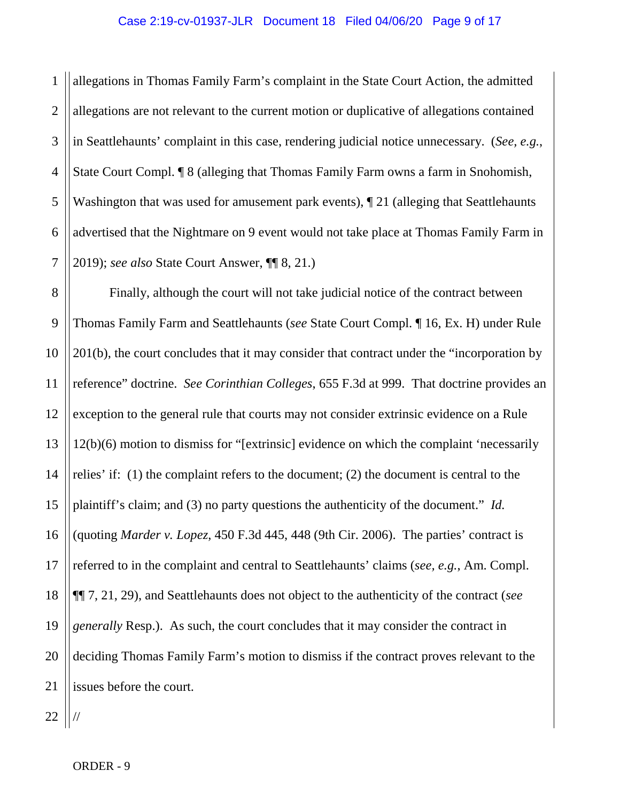#### Case 2:19-cv-01937-JLR Document 18 Filed 04/06/20 Page 9 of 17

1 2 3 4 5 6 7 allegations in Thomas Family Farm's complaint in the State Court Action, the admitted allegations are not relevant to the current motion or duplicative of allegations contained in Seattlehaunts' complaint in this case, rendering judicial notice unnecessary. (*See, e.g.*, State Court Compl. ¶ 8 (alleging that Thomas Family Farm owns a farm in Snohomish, Washington that was used for amusement park events),  $\P$  21 (alleging that Seattlehaunts advertised that the Nightmare on 9 event would not take place at Thomas Family Farm in 2019); *see also* State Court Answer, ¶¶ 8, 21.)

8 9 10 11 12 13 14 15 16 17 18 19 20 21 Finally, although the court will not take judicial notice of the contract between Thomas Family Farm and Seattlehaunts (*see* State Court Compl. ¶ 16, Ex. H) under Rule 201(b), the court concludes that it may consider that contract under the "incorporation by reference" doctrine. *See Corinthian Colleges*, 655 F.3d at 999. That doctrine provides an exception to the general rule that courts may not consider extrinsic evidence on a Rule 12(b)(6) motion to dismiss for "[extrinsic] evidence on which the complaint 'necessarily relies' if: (1) the complaint refers to the document; (2) the document is central to the plaintiff's claim; and (3) no party questions the authenticity of the document." *Id.*  (quoting *Marder v. Lopez*, 450 F.3d 445, 448 (9th Cir. 2006). The parties' contract is referred to in the complaint and central to Seattlehaunts' claims (*see, e.g.*, Am. Compl. ¶¶ 7, 21, 29), and Seattlehaunts does not object to the authenticity of the contract (*see generally* Resp.). As such, the court concludes that it may consider the contract in deciding Thomas Family Farm's motion to dismiss if the contract proves relevant to the issues before the court.

22 //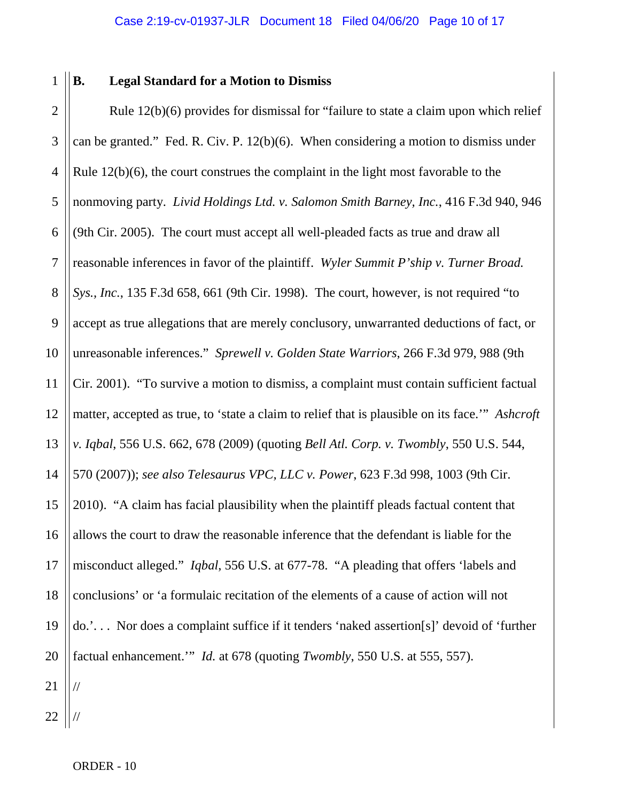1

### **B. Legal Standard for a Motion to Dismiss**

2 3 4 5 6 7 8 9 10 11 12 13 14 15 16 17 18 19 20 21 Rule 12(b)(6) provides for dismissal for "failure to state a claim upon which relief can be granted." Fed. R. Civ. P. 12(b)(6). When considering a motion to dismiss under Rule 12(b)(6), the court construes the complaint in the light most favorable to the nonmoving party. *Livid Holdings Ltd. v. Salomon Smith Barney, Inc.*, 416 F.3d 940, 946 (9th Cir. 2005). The court must accept all well-pleaded facts as true and draw all reasonable inferences in favor of the plaintiff. *Wyler Summit P'ship v. Turner Broad. Sys., Inc.*, 135 F.3d 658, 661 (9th Cir. 1998). The court, however, is not required "to accept as true allegations that are merely conclusory, unwarranted deductions of fact, or unreasonable inferences." *Sprewell v. Golden State Warriors*, 266 F.3d 979, 988 (9th Cir. 2001). "To survive a motion to dismiss, a complaint must contain sufficient factual matter, accepted as true, to 'state a claim to relief that is plausible on its face.'" *Ashcroft v. Iqbal*, 556 U.S. 662, 678 (2009) (quoting *Bell Atl. Corp. v. Twombly*, 550 U.S. 544, 570 (2007)); *see also Telesaurus VPC, LLC v. Power*, 623 F.3d 998, 1003 (9th Cir. 2010). "A claim has facial plausibility when the plaintiff pleads factual content that allows the court to draw the reasonable inference that the defendant is liable for the misconduct alleged." *Iqbal*, 556 U.S. at 677-78. "A pleading that offers 'labels and conclusions' or 'a formulaic recitation of the elements of a cause of action will not do.'. . . Nor does a complaint suffice if it tenders 'naked assertion[s]' devoid of 'further factual enhancement.'" *Id.* at 678 (quoting *Twombly*, 550 U.S. at 555, 557). //

22 //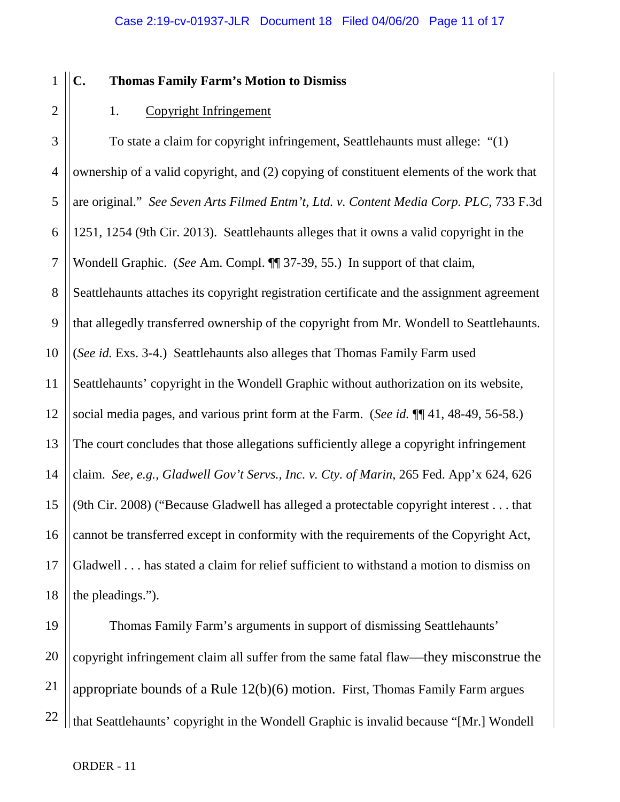## **C. Thomas Family Farm's Motion to Dismiss**

1

2

### 1. Copyright Infringement

3 4 5 6 7 8 9 10 11 12 13 14 15 16 17 18 To state a claim for copyright infringement, Seattlehaunts must allege: "(1) ownership of a valid copyright, and (2) copying of constituent elements of the work that are original." *See Seven Arts Filmed Entm't, Ltd. v. Content Media Corp. PLC*, 733 F.3d 1251, 1254 (9th Cir. 2013). Seattlehaunts alleges that it owns a valid copyright in the Wondell Graphic. (*See* Am. Compl. ¶¶ 37-39, 55.) In support of that claim, Seattlehaunts attaches its copyright registration certificate and the assignment agreement that allegedly transferred ownership of the copyright from Mr. Wondell to Seattlehaunts. (*See id.* Exs. 3-4.) Seattlehaunts also alleges that Thomas Family Farm used Seattlehaunts' copyright in the Wondell Graphic without authorization on its website, social media pages, and various print form at the Farm. (*See id.* ¶¶ 41, 48-49, 56-58.) The court concludes that those allegations sufficiently allege a copyright infringement claim. *See, e.g.*, *Gladwell Gov't Servs., Inc. v. Cty. of Marin*, 265 Fed. App'x 624, 626 (9th Cir. 2008) ("Because Gladwell has alleged a protectable copyright interest . . . that cannot be transferred except in conformity with the requirements of the Copyright Act, Gladwell . . . has stated a claim for relief sufficient to withstand a motion to dismiss on the pleadings.").

19 20 21 22 Thomas Family Farm's arguments in support of dismissing Seattlehaunts' copyright infringement claim all suffer from the same fatal flaw—they misconstrue the appropriate bounds of a Rule 12(b)(6) motion. First, Thomas Family Farm argues that Seattlehaunts' copyright in the Wondell Graphic is invalid because "[Mr.] Wondell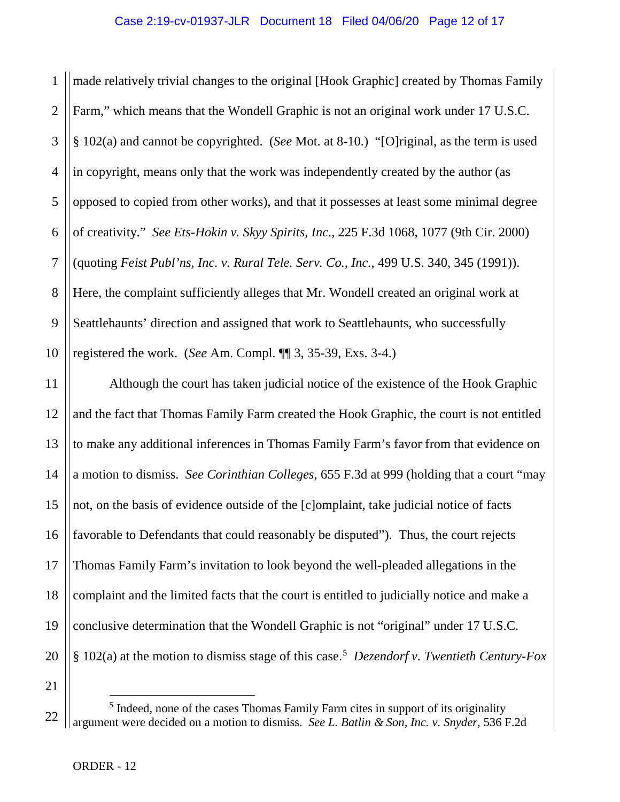1 2 3 4 5 6 7 8 9 10 made relatively trivial changes to the original [Hook Graphic] created by Thomas Family Farm," which means that the Wondell Graphic is not an original work under 17 U.S.C. § 102(a) and cannot be copyrighted. (*See* Mot. at 8-10.) "[O]riginal, as the term is used in copyright, means only that the work was independently created by the author (as opposed to copied from other works), and that it possesses at least some minimal degree of creativity." *See Ets-Hokin v. Skyy Spirits, Inc.*, 225 F.3d 1068, 1077 (9th Cir. 2000) (quoting *Feist Publ'ns, Inc. v. Rural Tele. Serv. Co., Inc.*, 499 U.S. 340, 345 (1991)). Here, the complaint sufficiently alleges that Mr. Wondell created an original work at Seattlehaunts' direction and assigned that work to Seattlehaunts, who successfully registered the work. (*See* Am. Compl. ¶¶ 3, 35-39, Exs. 3-4.)

20 Although the court has taken judicial notice of the existence of the Hook Graphic and the fact that Thomas Family Farm created the Hook Graphic, the court is not entitled to make any additional inferences in Thomas Family Farm's favor from that evidence on a motion to dismiss. *See Corinthian Colleges*, 655 F.3d at 999 (holding that a court "may not, on the basis of evidence outside of the [c]omplaint, take judicial notice of facts favorable to Defendants that could reasonably be disputed"). Thus, the court rejects Thomas Family Farm's invitation to look beyond the well-pleaded allegations in the complaint and the limited facts that the court is entitled to judicially notice and make a conclusive determination that the Wondell Graphic is not "original" under 17 U.S.C. § 102(a) at the motion to dismiss stage of this case.[5](#page-11-0) *Dezendorf v. Twentieth Century-Fox* 

21

11

12

13

14

15

16

17

18

19

<span id="page-11-0"></span><sup>22</sup> <sup>5</sup> Indeed, none of the cases Thomas Family Farm cites in support of its originality argument were decided on a motion to dismiss. *See L. Batlin & Son, Inc. v. Snyder*, 536 F.2d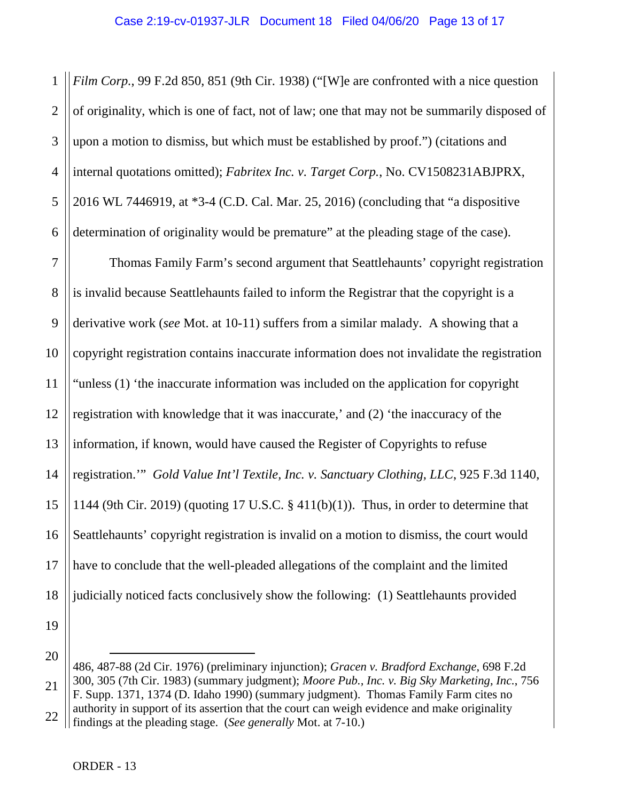1 2 3 4 5 6 *Film Corp.*, 99 F.2d 850, 851 (9th Cir. 1938) ("[W]e are confronted with a nice question of originality, which is one of fact, not of law; one that may not be summarily disposed of upon a motion to dismiss, but which must be established by proof.") (citations and internal quotations omitted); *Fabritex Inc. v. Target Corp.*, No. CV1508231ABJPRX, 2016 WL 7446919, at \*3-4 (C.D. Cal. Mar. 25, 2016) (concluding that "a dispositive determination of originality would be premature" at the pleading stage of the case).

7 8 9 10 11 12 13 14 15 16 17 18 Thomas Family Farm's second argument that Seattlehaunts' copyright registration is invalid because Seattlehaunts failed to inform the Registrar that the copyright is a derivative work (*see* Mot. at 10-11) suffers from a similar malady. A showing that a copyright registration contains inaccurate information does not invalidate the registration "unless (1) 'the inaccurate information was included on the application for copyright registration with knowledge that it was inaccurate,' and (2) 'the inaccuracy of the information, if known, would have caused the Register of Copyrights to refuse registration.'" *Gold Value Int'l Textile, Inc. v. Sanctuary Clothing, LLC*, 925 F.3d 1140, 1144 (9th Cir. 2019) (quoting 17 U.S.C.  $\S$  411(b)(1)). Thus, in order to determine that Seattlehaunts' copyright registration is invalid on a motion to dismiss, the court would have to conclude that the well-pleaded allegations of the complaint and the limited judicially noticed facts conclusively show the following: (1) Seattlehaunts provided

19

 $\overline{a}$ 

<sup>20</sup> 21 22 486, 487-88 (2d Cir. 1976) (preliminary injunction); *Gracen v. Bradford Exchange*, 698 F.2d 300, 305 (7th Cir. 1983) (summary judgment); *Moore Pub., Inc. v. Big Sky Marketing, Inc.*, 756 F. Supp. 1371, 1374 (D. Idaho 1990) (summary judgment). Thomas Family Farm cites no authority in support of its assertion that the court can weigh evidence and make originality findings at the pleading stage. (*See generally* Mot. at 7-10.)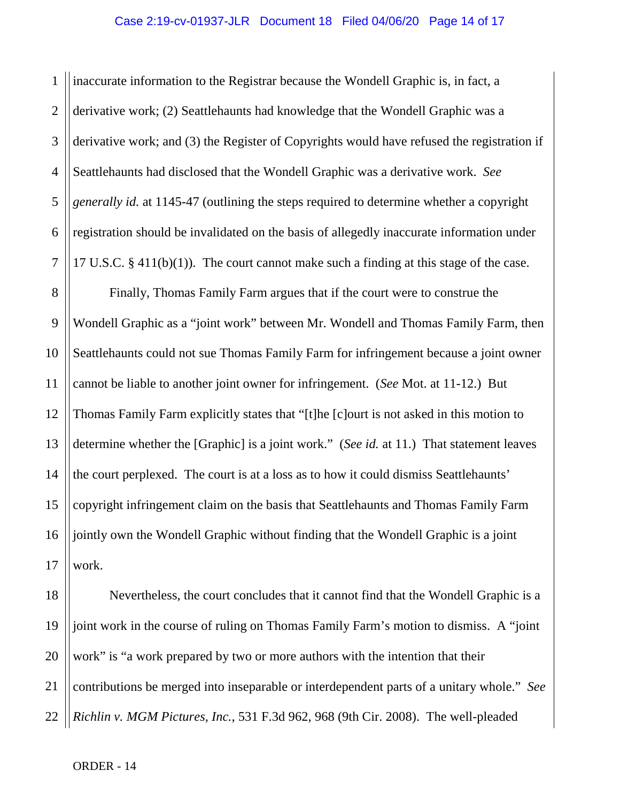1 2 3 4 5 6 7 inaccurate information to the Registrar because the Wondell Graphic is, in fact, a derivative work; (2) Seattlehaunts had knowledge that the Wondell Graphic was a derivative work; and (3) the Register of Copyrights would have refused the registration if Seattlehaunts had disclosed that the Wondell Graphic was a derivative work. *See generally id.* at 1145-47 (outlining the steps required to determine whether a copyright registration should be invalidated on the basis of allegedly inaccurate information under 17 U.S.C. § 411(b)(1)). The court cannot make such a finding at this stage of the case.

8 9 10 11 12 13 14 15 16 17 Finally, Thomas Family Farm argues that if the court were to construe the Wondell Graphic as a "joint work" between Mr. Wondell and Thomas Family Farm, then Seattlehaunts could not sue Thomas Family Farm for infringement because a joint owner cannot be liable to another joint owner for infringement. (*See* Mot. at 11-12.) But Thomas Family Farm explicitly states that "[t]he [c]ourt is not asked in this motion to determine whether the [Graphic] is a joint work." (*See id.* at 11.) That statement leaves the court perplexed. The court is at a loss as to how it could dismiss Seattlehaunts' copyright infringement claim on the basis that Seattlehaunts and Thomas Family Farm jointly own the Wondell Graphic without finding that the Wondell Graphic is a joint work.

18 19 20 21 22 Nevertheless, the court concludes that it cannot find that the Wondell Graphic is a joint work in the course of ruling on Thomas Family Farm's motion to dismiss. A "joint work" is "a work prepared by two or more authors with the intention that their contributions be merged into inseparable or interdependent parts of a unitary whole." *See Richlin v. MGM Pictures, Inc.*, 531 F.3d 962, 968 (9th Cir. 2008). The well-pleaded

ORDER - 14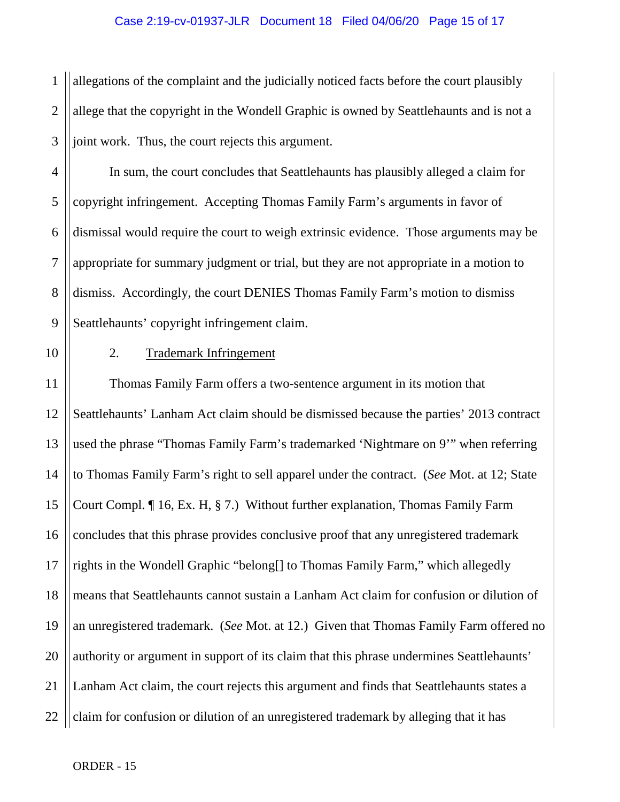### Case 2:19-cv-01937-JLR Document 18 Filed 04/06/20 Page 15 of 17

1 2 3 allegations of the complaint and the judicially noticed facts before the court plausibly allege that the copyright in the Wondell Graphic is owned by Seattlehaunts and is not a joint work. Thus, the court rejects this argument.

4 5 6 7 8 9 In sum, the court concludes that Seattlehaunts has plausibly alleged a claim for copyright infringement. Accepting Thomas Family Farm's arguments in favor of dismissal would require the court to weigh extrinsic evidence. Those arguments may be appropriate for summary judgment or trial, but they are not appropriate in a motion to dismiss. Accordingly, the court DENIES Thomas Family Farm's motion to dismiss Seattlehaunts' copyright infringement claim.

10 11

### 2. Trademark Infringement

12 13 14 15 16 17 18 19 20 21 22 Thomas Family Farm offers a two-sentence argument in its motion that Seattlehaunts' Lanham Act claim should be dismissed because the parties' 2013 contract used the phrase "Thomas Family Farm's trademarked 'Nightmare on 9'" when referring to Thomas Family Farm's right to sell apparel under the contract. (*See* Mot. at 12; State Court Compl. ¶ 16, Ex. H, § 7.) Without further explanation, Thomas Family Farm concludes that this phrase provides conclusive proof that any unregistered trademark rights in the Wondell Graphic "belong[] to Thomas Family Farm," which allegedly means that Seattlehaunts cannot sustain a Lanham Act claim for confusion or dilution of an unregistered trademark. (*See* Mot. at 12.) Given that Thomas Family Farm offered no authority or argument in support of its claim that this phrase undermines Seattlehaunts' Lanham Act claim, the court rejects this argument and finds that Seattlehaunts states a claim for confusion or dilution of an unregistered trademark by alleging that it has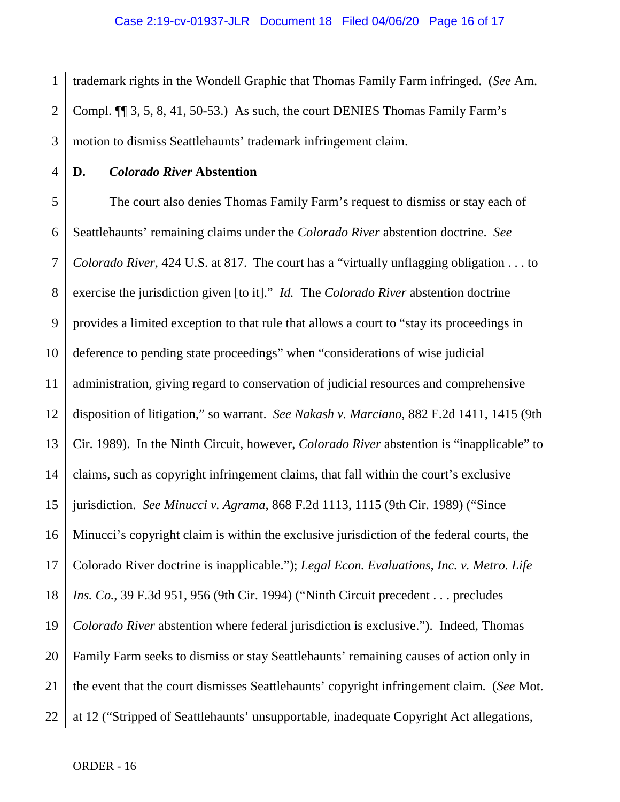1 2 3 trademark rights in the Wondell Graphic that Thomas Family Farm infringed. (*See* Am. Compl. ¶¶ 3, 5, 8, 41, 50-53.) As such, the court DENIES Thomas Family Farm's motion to dismiss Seattlehaunts' trademark infringement claim.

4

### **D.** *Colorado River* **Abstention**

5 6 7 8 9 10 11 12 13 14 15 16 17 18 19 20 21 22 The court also denies Thomas Family Farm's request to dismiss or stay each of Seattlehaunts' remaining claims under the *Colorado River* abstention doctrine. *See Colorado River*, 424 U.S. at 817. The court has a "virtually unflagging obligation . . . to exercise the jurisdiction given [to it]." *Id.* The *Colorado River* abstention doctrine provides a limited exception to that rule that allows a court to "stay its proceedings in deference to pending state proceedings" when "considerations of wise judicial administration, giving regard to conservation of judicial resources and comprehensive disposition of litigation," so warrant. *See Nakash v. Marciano*, 882 F.2d 1411, 1415 (9th Cir. 1989). In the Ninth Circuit, however, *Colorado River* abstention is "inapplicable" to claims, such as copyright infringement claims, that fall within the court's exclusive jurisdiction. *See Minucci v. Agrama*, 868 F.2d 1113, 1115 (9th Cir. 1989) ("Since Minucci's copyright claim is within the exclusive jurisdiction of the federal courts, the Colorado River doctrine is inapplicable."); *Legal Econ. Evaluations, Inc. v. Metro. Life Ins. Co.*, 39 F.3d 951, 956 (9th Cir. 1994) ("Ninth Circuit precedent . . . precludes *Colorado River* abstention where federal jurisdiction is exclusive."). Indeed, Thomas Family Farm seeks to dismiss or stay Seattlehaunts' remaining causes of action only in the event that the court dismisses Seattlehaunts' copyright infringement claim. (*See* Mot. at 12 ("Stripped of Seattlehaunts' unsupportable, inadequate Copyright Act allegations,